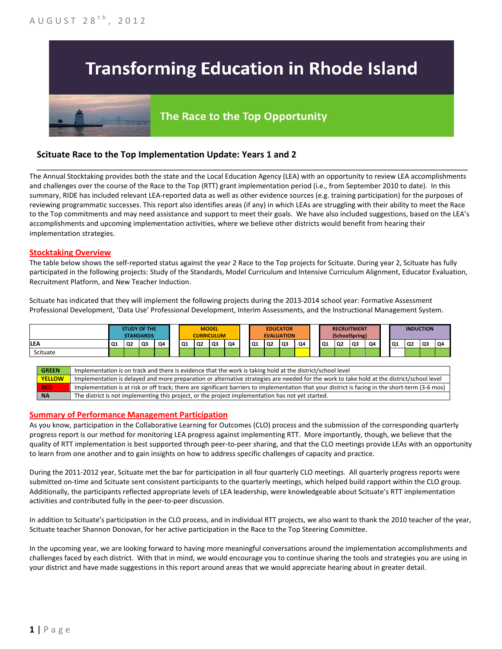# **Transforming Education in Rhode Island**

# The Race to the Top Opportunity

## **Scituate Race to the Top Implementation Update: Years 1 and 2**

The Annual Stocktaking provides both the state and the Local Education Agency (LEA) with an opportunity to review LEA accomplishments and challenges over the course of the Race to the Top (RTT) grant implementation period (i.e., from September 2010 to date). In this summary, RIDE has included relevant LEA-reported data as well as other evidence sources (e.g. training participation) for the purposes of reviewing programmatic successes. This report also identifies areas (if any) in which LEAs are struggling with their ability to meet the Race to the Top commitments and may need assistance and support to meet their goals. We have also included suggestions, based on the LEA's accomplishments and upcoming implementation activities, where we believe other districts would benefit from hearing their implementation strategies.

\_\_\_\_\_\_\_\_\_\_\_\_\_\_\_\_\_\_\_\_\_\_\_\_\_\_\_\_\_\_\_\_\_\_\_\_\_\_\_\_\_\_\_\_\_\_\_\_\_\_\_\_\_\_\_\_\_\_\_\_\_\_\_\_\_\_\_\_\_\_\_\_\_\_\_\_\_\_\_\_\_\_\_\_\_\_\_\_\_\_\_\_\_\_\_\_

#### **Stocktaking Overview**

The table below shows the self-reported status against the year 2 Race to the Top projects for Scituate. During year 2, Scituate has fully participated in the following projects: Study of the Standards, Model Curriculum and Intensive Curriculum Alignment, Educator Evaluation, Recruitment Platform, and New Teacher Induction.

Scituate has indicated that they will implement the following projects during the 2013-2014 school year: Formative Assessment Professional Development, 'Data Use' Professional Development, Interim Assessments, and the Instructional Management System.



#### **Summary of Performance Management Participation**

As you know, participation in the Collaborative Learning for Outcomes (CLO) process and the submission of the corresponding quarterly progress report is our method for monitoring LEA progress against implementing RTT. More importantly, though, we believe that the quality of RTT implementation is best supported through peer-to-peer sharing, and that the CLO meetings provide LEAs with an opportunity to learn from one another and to gain insights on how to address specific challenges of capacity and practice.

During the 2011-2012 year, Scituate met the bar for participation in all four quarterly CLO meetings. All quarterly progress reports were submitted on-time and Scituate sent consistent participants to the quarterly meetings, which helped build rapport within the CLO group. Additionally, the participants reflected appropriate levels of LEA leadership, were knowledgeable about Scituate's RTT implementation activities and contributed fully in the peer-to-peer discussion.

In addition to Scituate's participation in the CLO process, and in individual RTT projects, we also want to thank the 2010 teacher of the year, Scituate teacher Shannon Donovan, for her active participation in the Race to the Top Steering Committee.

In the upcoming year, we are looking forward to having more meaningful conversations around the implementation accomplishments and challenges faced by each district. With that in mind, we would encourage you to continue sharing the tools and strategies you are using in your district and have made suggestions in this report around areas that we would appreciate hearing about in greater detail.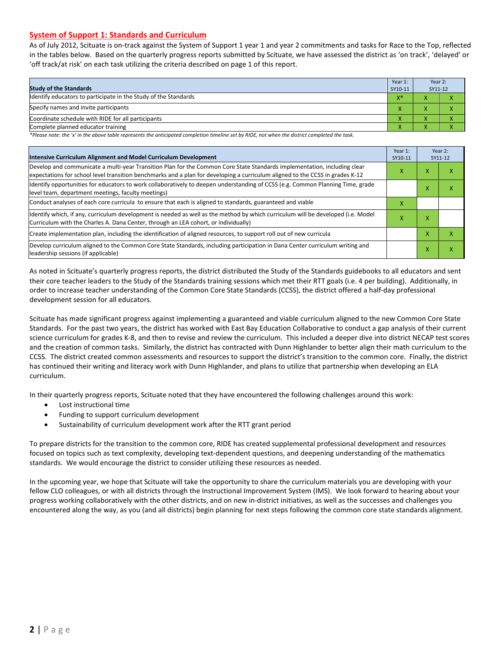#### **System of Support 1: Standards and Curriculum**

As of July 2012, Scituate is on-track against the System of Support 1 year 1 and year 2 commitments and tasks for Race to the Top, reflected in the tables below. Based on the quarterly progress reports submitted by Scituate, we have assessed the district as 'on track', 'delayed' or 'off track/at risk' on each task utilizing the criteria described on page 1 of this report.

| <b>Study of the Standards</b>                                   | Year 1:<br>SY10-11 | Year 2:<br>SY11-12       |  |
|-----------------------------------------------------------------|--------------------|--------------------------|--|
| Identify educators to participate in the Study of the Standards | $X^*$              | $\overline{\phantom{a}}$ |  |
| Specify names and invite participants                           |                    |                          |  |
| Coordinate schedule with RIDE for all participants              |                    |                          |  |
| Complete planned educator training                              | $\sqrt{ }$         | $\overline{\phantom{a}}$ |  |

*\*Please note: the 'x' in the above table represents the anticipated completion timeline set by RIDE, not when the district completed the task.*

| Intensive Curriculum Alignment and Model Curriculum Development                                                                                                                                                                                           |   |   | Year 2:<br>SY11-12 |  |
|-----------------------------------------------------------------------------------------------------------------------------------------------------------------------------------------------------------------------------------------------------------|---|---|--------------------|--|
| Develop and communicate a multi-year Transition Plan for the Common Core State Standards implementation, including clear<br>expectations for school level transition benchmarks and a plan for developing a curriculum aligned to the CCSS in grades K-12 |   |   | x                  |  |
| Identify opportunities for educators to work collaboratively to deepen understanding of CCSS (e.g. Common Planning Time, grade<br>level team, department meetings, faculty meetings)                                                                      |   | X | x                  |  |
| Conduct analyses of each core curricula to ensure that each is aligned to standards, guaranteed and viable                                                                                                                                                | x |   |                    |  |
| ldentify which, if any, curriculum development is needed as well as the method by which curriculum will be developed (i.e. Model<br>Curriculum with the Charles A. Dana Center, through an LEA cohort, or individually)                                   |   |   |                    |  |
| Create implementation plan, including the identification of aligned resources, to support roll out of new curricula                                                                                                                                       |   | x | x                  |  |
| Develop curriculum aligned to the Common Core State Standards, including participation in Dana Center curriculum writing and<br>leadership sessions (if applicable)                                                                                       |   | X | x                  |  |

As noted in Scituate's quarterly progress reports, the district distributed the Study of the Standards guidebooks to all educators and sent their core teacher leaders to the Study of the Standards training sessions which met their RTT goals (i.e. 4 per building). Additionally, in order to increase teacher understanding of the Common Core State Standards (CCSS), the district offered a half-day professional development session for all educators.

Scituate has made significant progress against implementing a guaranteed and viable curriculum aligned to the new Common Core State Standards. For the past two years, the district has worked with East Bay Education Collaborative to conduct a gap analysis of their current science curriculum for grades K-8, and then to revise and review the curriculum. This included a deeper dive into district NECAP test scores and the creation of common tasks. Similarly, the district has contracted with Dunn Highlander to better align their math curriculum to the CCSS. The district created common assessments and resources to support the district's transition to the common core. Finally, the district has continued their writing and literacy work with Dunn Highlander, and plans to utilize that partnership when developing an ELA curriculum.

In their quarterly progress reports, Scituate noted that they have encountered the following challenges around this work:

- Lost instructional time
- Funding to support curriculum development
- Sustainability of curriculum development work after the RTT grant period

To prepare districts for the transition to the common core, RIDE has created supplemental professional development and resources focused on topics such as text complexity, developing text-dependent questions, and deepening understanding of the mathematics standards. We would encourage the district to consider utilizing these resources as needed.

In the upcoming year, we hope that Scituate will take the opportunity to share the curriculum materials you are developing with your fellow CLO colleagues, or with all districts through the Instructional Improvement System (IMS). We look forward to hearing about your progress working collaboratively with the other districts, and on new in-district initiatives, as well as the successes and challenges you encountered along the way, as you (and all districts) begin planning for next steps following the common core state standards alignment.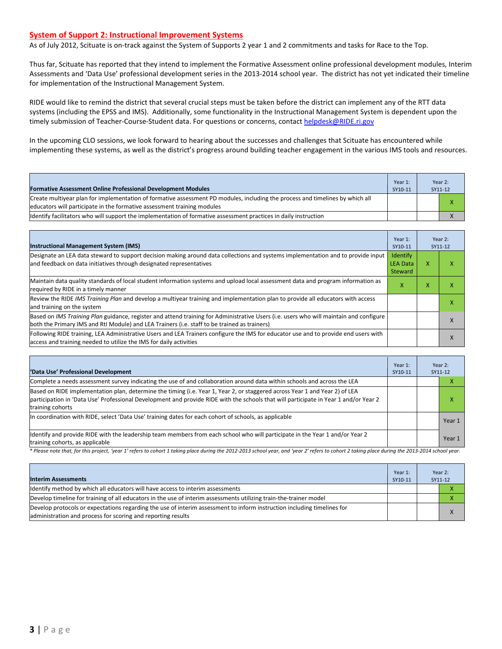#### **System of Support 2: Instructional Improvement Systems**

As of July 2012, Scituate is on-track against the System of Supports 2 year 1 and 2 commitments and tasks for Race to the Top.

Thus far, Scituate has reported that they intend to implement the Formative Assessment online professional development modules, Interim Assessments and 'Data Use' professional development series in the 2013-2014 school year. The district has not yet indicated their timeline for implementation of the Instructional Management System.

RIDE would like to remind the district that several crucial steps must be taken before the district can implement any of the RTT data systems (including the EPSS and IMS). Additionally, some functionality in the Instructional Management System is dependent upon the timely submission of Teacher-Course-Student data. For questions or concerns, contact [helpdesk@RIDE.ri.gov](mailto:helpdesk@RIDE.ri.gov)

In the upcoming CLO sessions, we look forward to hearing about the successes and challenges that Scituate has encountered while implementing these systems, as well as the district's progress around building teacher engagement in the various IMS tools and resources.

| <b>Formative Assessment Online Professional Development Modules</b>                                                                                                                                      | Year 1:<br>SY10-11 | Year 2:<br>SY11-12 |
|----------------------------------------------------------------------------------------------------------------------------------------------------------------------------------------------------------|--------------------|--------------------|
| Create multivear plan for implementation of formative assessment PD modules, including the process and timelines by which all<br>educators will participate in the formative assessment training modules |                    |                    |
| ldentify facilitators who will support the implementation of formative assessment practices in daily instruction                                                                                         |                    |                    |

| <b>Instructional Management System (IMS)</b>                                                                                                                                                                                           | Year 1:<br>SY10-11                            |   | Year 2:<br>SY11-12 |
|----------------------------------------------------------------------------------------------------------------------------------------------------------------------------------------------------------------------------------------|-----------------------------------------------|---|--------------------|
| Designate an LEA data steward to support decision making around data collections and systems implementation and to provide input<br>and feedback on data initiatives through designated representatives                                | Identify<br><b>LEA Data</b><br><b>Steward</b> | X | x                  |
| Maintain data quality standards of local student information systems and upload local assessment data and program information as<br>required by RIDE in a timely manner                                                                |                                               |   |                    |
| Review the RIDE IMS Training Plan and develop a multiyear training and implementation plan to provide all educators with access<br>and training on the system                                                                          |                                               |   | x                  |
| Based on IMS Training Plan guidance, register and attend training for Administrative Users (i.e. users who will maintain and configure<br>both the Primary IMS and RtI Module) and LEA Trainers (i.e. staff to be trained as trainers) |                                               |   |                    |
| Following RIDE training, LEA Administrative Users and LEA Trainers configure the IMS for educator use and to provide end users with<br>access and training needed to utilize the IMS for daily activities                              |                                               |   | $\lambda$          |

| 'Data Use' Professional Development                                                                                                                                                                                                                                                     | Year 1:<br>SY10-11 |  | Year 2:<br>SY11-12 |
|-----------------------------------------------------------------------------------------------------------------------------------------------------------------------------------------------------------------------------------------------------------------------------------------|--------------------|--|--------------------|
| Complete a needs assessment survey indicating the use of and collaboration around data within schools and across the LEA                                                                                                                                                                |                    |  | v                  |
| Based on RIDE implementation plan, determine the timing (i.e. Year 1, Year 2, or staggered across Year 1 and Year 2) of LEA<br>participation in 'Data Use' Professional Development and provide RIDE with the schools that will participate in Year 1 and/or Year 2<br>training cohorts |                    |  | x                  |
| In coordination with RIDE, select 'Data Use' training dates for each cohort of schools, as applicable                                                                                                                                                                                   |                    |  | Year 1             |
| Identify and provide RIDE with the leadership team members from each school who will participate in the Year 1 and/or Year 2<br>training cohorts, as applicable                                                                                                                         |                    |  | Year 1             |

*\* Please note that, for this project, 'year 1' refers to cohort 1 taking place during the 2012-2013 school year, and 'year 2' refers to cohort 2 taking place during the 2013-2014 school year.*

| <b>Interim Assessments</b>                                                                                                                                                              | Year 1:<br>SY10-11 | Year 2:<br>SY11-12 |
|-----------------------------------------------------------------------------------------------------------------------------------------------------------------------------------------|--------------------|--------------------|
| Identify method by which all educators will have access to interim assessments                                                                                                          |                    |                    |
| Develop timeline for training of all educators in the use of interim assessments utilizing train-the-trainer model                                                                      |                    |                    |
| Develop protocols or expectations regarding the use of interim assessment to inform instruction including timelines for<br>administration and process for scoring and reporting results |                    |                    |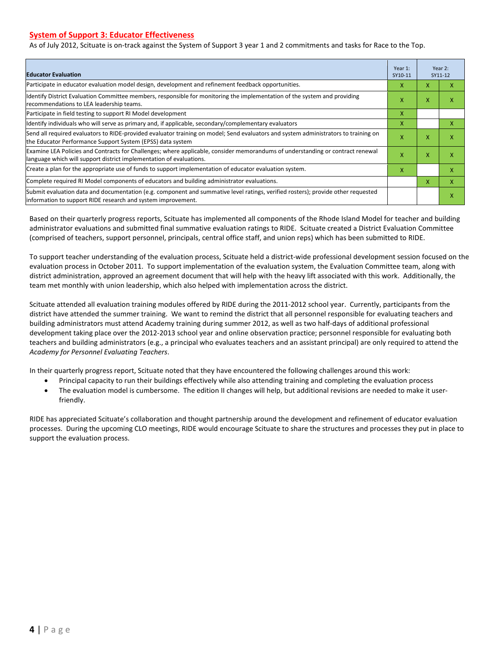#### **System of Support 3: Educator Effectiveness**

As of July 2012, Scituate is on-track against the System of Support 3 year 1 and 2 commitments and tasks for Race to the Top.

| <b>Educator Evaluation</b>                                                                                                                                                                            |   |   | Year 2:<br>SY11-12 |
|-------------------------------------------------------------------------------------------------------------------------------------------------------------------------------------------------------|---|---|--------------------|
| Participate in educator evaluation model design, development and refinement feedback opportunities.                                                                                                   | x | X | x                  |
| Identify District Evaluation Committee members, responsible for monitoring the implementation of the system and providing<br>recommendations to LEA leadership teams.                                 |   |   | x                  |
| Participate in field testing to support RI Model development                                                                                                                                          | X |   |                    |
| Identify individuals who will serve as primary and, if applicable, secondary/complementary evaluators                                                                                                 | X |   | x                  |
| Send all required evaluators to RIDE-provided evaluator training on model; Send evaluators and system administrators to training on<br>the Educator Performance Support System (EPSS) data system     | X | X | X                  |
| Examine LEA Policies and Contracts for Challenges; where applicable, consider memorandums of understanding or contract renewal<br>language which will support district implementation of evaluations. | X | X | X                  |
| Create a plan for the appropriate use of funds to support implementation of educator evaluation system.                                                                                               |   |   | x                  |
| Complete required RI Model components of educators and building administrator evaluations.                                                                                                            |   |   | X                  |
| Submit evaluation data and documentation (e.g. component and summative level ratings, verified rosters); provide other requested<br>linformation to support RIDE research and system improvement.     |   |   | X                  |

Based on their quarterly progress reports, Scituate has implemented all components of the Rhode Island Model for teacher and building administrator evaluations and submitted final summative evaluation ratings to RIDE. Scituate created a District Evaluation Committee (comprised of teachers, support personnel, principals, central office staff, and union reps) which has been submitted to RIDE.

To support teacher understanding of the evaluation process, Scituate held a district-wide professional development session focused on the evaluation process in October 2011. To support implementation of the evaluation system, the Evaluation Committee team, along with district administration, approved an agreement document that will help with the heavy lift associated with this work. Additionally, the team met monthly with union leadership, which also helped with implementation across the district.

Scituate attended all evaluation training modules offered by RIDE during the 2011-2012 school year. Currently, participants from the district have attended the summer training. We want to remind the district that all personnel responsible for evaluating teachers and building administrators must attend Academy training during summer 2012, as well as two half-days of additional professional development taking place over the 2012-2013 school year and online observation practice; personnel responsible for evaluating both teachers and building administrators (e.g., a principal who evaluates teachers and an assistant principal) are only required to attend the *Academy for Personnel Evaluating Teachers*.

In their quarterly progress report, Scituate noted that they have encountered the following challenges around this work:

- Principal capacity to run their buildings effectively while also attending training and completing the evaluation process
- The evaluation model is cumbersome. The edition II changes will help, but additional revisions are needed to make it userfriendly.

RIDE has appreciated Scituate's collaboration and thought partnership around the development and refinement of educator evaluation processes. During the upcoming CLO meetings, RIDE would encourage Scituate to share the structures and processes they put in place to support the evaluation process.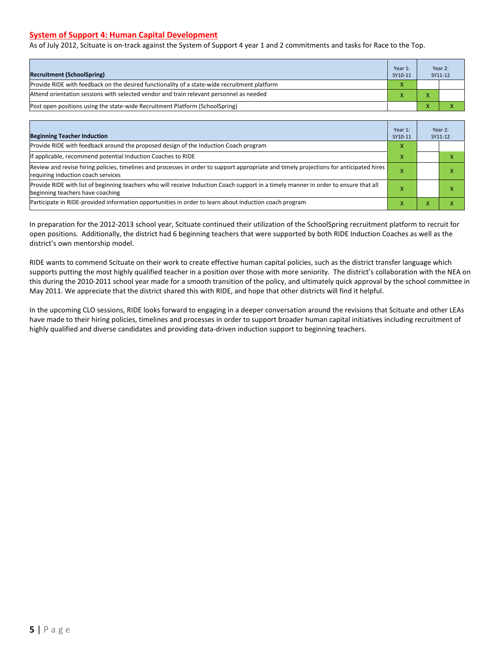#### **System of Support 4: Human Capital Development**

As of July 2012, Scituate is on-track against the System of Support 4 year 1 and 2 commitments and tasks for Race to the Top.

|                                                                                              | Year 1: | Year 2: |
|----------------------------------------------------------------------------------------------|---------|---------|
| <b>Recruitment (SchoolSpring)</b>                                                            | SY10-11 | SY11-12 |
| Provide RIDE with feedback on the desired functionality of a state-wide recruitment platform |         |         |
| Attend orientation sessions with selected vendor and train relevant personnel as needed      |         |         |
| [Post open positions using the state-wide Recruitment Platform (SchoolSpring)                |         |         |

| <b>Beginning Teacher Induction</b>                                                                                                                                            | Year 1:<br>SY10-11 |   | Year 2:<br>SY11-12 |
|-------------------------------------------------------------------------------------------------------------------------------------------------------------------------------|--------------------|---|--------------------|
| Provide RIDE with feedback around the proposed design of the Induction Coach program                                                                                          | x                  |   |                    |
| If applicable, recommend potential Induction Coaches to RIDE                                                                                                                  |                    |   |                    |
| Review and revise hiring policies, timelines and processes in order to support appropriate and timely projections for anticipated hires<br>requiring induction coach services |                    |   |                    |
| Provide RIDE with list of beginning teachers who will receive Induction Coach support in a timely manner in order to ensure that all<br>beginning teachers have coaching      |                    |   |                    |
| Participate in RIDE-provided information opportunities in order to learn about induction coach program                                                                        | л                  | v |                    |

In preparation for the 2012-2013 school year, Scituate continued their utilization of the SchoolSpring recruitment platform to recruit for open positions. Additionally, the district had 6 beginning teachers that were supported by both RIDE Induction Coaches as well as the district's own mentorship model.

RIDE wants to commend Scituate on their work to create effective human capital policies, such as the district transfer language which supports putting the most highly qualified teacher in a position over those with more seniority. The district's collaboration with the NEA on this during the 2010-2011 school year made for a smooth transition of the policy, and ultimately quick approval by the school committee in May 2011. We appreciate that the district shared this with RIDE, and hope that other districts will find it helpful.

In the upcoming CLO sessions, RIDE looks forward to engaging in a deeper conversation around the revisions that Scituate and other LEAs have made to their hiring policies, timelines and processes in order to support broader human capital initiatives including recruitment of highly qualified and diverse candidates and providing data-driven induction support to beginning teachers.